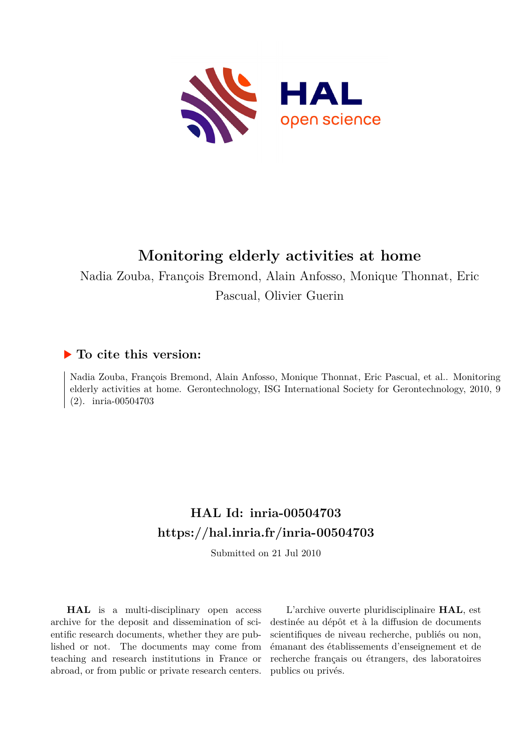

## **Monitoring elderly activities at home**

Nadia Zouba, François Bremond, Alain Anfosso, Monique Thonnat, Eric Pascual, Olivier Guerin

## **To cite this version:**

Nadia Zouba, François Bremond, Alain Anfosso, Monique Thonnat, Eric Pascual, et al.. Monitoring elderly activities at home. Gerontechnology, ISG International Society for Gerontechnology, 2010, 9  $(2)$ . inria-00504703

## **HAL Id: inria-00504703 <https://hal.inria.fr/inria-00504703>**

Submitted on 21 Jul 2010

**HAL** is a multi-disciplinary open access archive for the deposit and dissemination of scientific research documents, whether they are published or not. The documents may come from teaching and research institutions in France or abroad, or from public or private research centers.

L'archive ouverte pluridisciplinaire **HAL**, est destinée au dépôt et à la diffusion de documents scientifiques de niveau recherche, publiés ou non, émanant des établissements d'enseignement et de recherche français ou étrangers, des laboratoires publics ou privés.